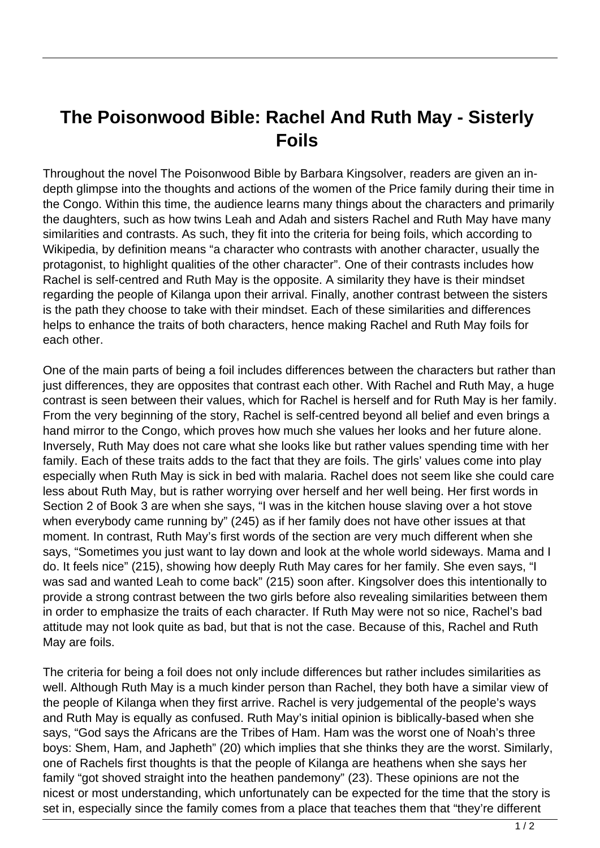## **The Poisonwood Bible: Rachel And Ruth May - Sisterly Foils**

Throughout the novel The Poisonwood Bible by Barbara Kingsolver, readers are given an indepth glimpse into the thoughts and actions of the women of the Price family during their time in the Congo. Within this time, the audience learns many things about the characters and primarily the daughters, such as how twins Leah and Adah and sisters Rachel and Ruth May have many similarities and contrasts. As such, they fit into the criteria for being foils, which according to Wikipedia, by definition means "a character who contrasts with another character, usually the protagonist, to highlight qualities of the other character". One of their contrasts includes how Rachel is self-centred and Ruth May is the opposite. A similarity they have is their mindset regarding the people of Kilanga upon their arrival. Finally, another contrast between the sisters is the path they choose to take with their mindset. Each of these similarities and differences helps to enhance the traits of both characters, hence making Rachel and Ruth May foils for each other.

One of the main parts of being a foil includes differences between the characters but rather than just differences, they are opposites that contrast each other. With Rachel and Ruth May, a huge contrast is seen between their values, which for Rachel is herself and for Ruth May is her family. From the very beginning of the story, Rachel is self-centred beyond all belief and even brings a hand mirror to the Congo, which proves how much she values her looks and her future alone. Inversely, Ruth May does not care what she looks like but rather values spending time with her family. Each of these traits adds to the fact that they are foils. The girls' values come into play especially when Ruth May is sick in bed with malaria. Rachel does not seem like she could care less about Ruth May, but is rather worrying over herself and her well being. Her first words in Section 2 of Book 3 are when she says, "I was in the kitchen house slaving over a hot stove when everybody came running by" (245) as if her family does not have other issues at that moment. In contrast, Ruth May's first words of the section are very much different when she says, "Sometimes you just want to lay down and look at the whole world sideways. Mama and I do. It feels nice" (215), showing how deeply Ruth May cares for her family. She even says, "I was sad and wanted Leah to come back" (215) soon after. Kingsolver does this intentionally to provide a strong contrast between the two girls before also revealing similarities between them in order to emphasize the traits of each character. If Ruth May were not so nice, Rachel's bad attitude may not look quite as bad, but that is not the case. Because of this, Rachel and Ruth May are foils.

The criteria for being a foil does not only include differences but rather includes similarities as well. Although Ruth May is a much kinder person than Rachel, they both have a similar view of the people of Kilanga when they first arrive. Rachel is very judgemental of the people's ways and Ruth May is equally as confused. Ruth May's initial opinion is biblically-based when she says, "God says the Africans are the Tribes of Ham. Ham was the worst one of Noah's three boys: Shem, Ham, and Japheth" (20) which implies that she thinks they are the worst. Similarly, one of Rachels first thoughts is that the people of Kilanga are heathens when she says her family "got shoved straight into the heathen pandemony" (23). These opinions are not the nicest or most understanding, which unfortunately can be expected for the time that the story is set in, especially since the family comes from a place that teaches them that "they're different